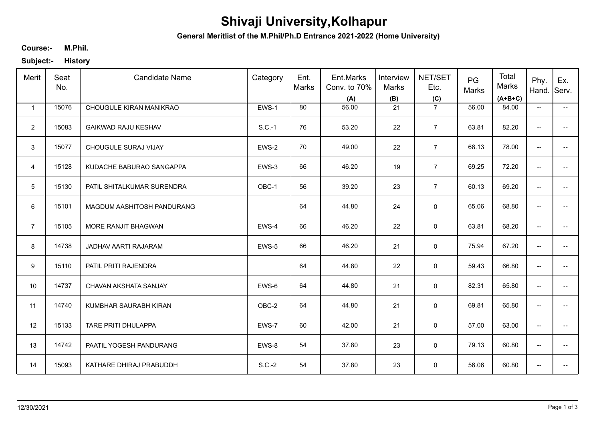# **Shivaji University,Kolhapur**

**General Meritlist of the M.Phil/Ph.D Entrance 2021-2022 (Home University)**

### **M.Phil. Course:-**

**Subject:- History**

| Merit          | Seat<br>No. | <b>Candidate Name</b>      | Category | Ent.<br>Marks | Ent.Marks<br>Conv. to 70%<br>(A) | Interview<br>Marks<br>(B) | <b>NET/SET</b><br>Etc.<br>(C) | PG<br>Marks | Total<br>Marks<br>$(A+B+C)$ | Phy.<br>Hand.            | Ex.<br>Serv.                           |
|----------------|-------------|----------------------------|----------|---------------|----------------------------------|---------------------------|-------------------------------|-------------|-----------------------------|--------------------------|----------------------------------------|
| $\mathbf{1}$   | 15076       | CHOUGULE KIRAN MANIKRAO    | EWS-1    | 80            | 56.00                            | 21                        | $\overline{7}$                | 56.00       | 84.00                       | $\overline{\phantom{a}}$ | −−                                     |
| $\overline{2}$ | 15083       | <b>GAIKWAD RAJU KESHAV</b> | $S.C.-1$ | 76            | 53.20                            | 22                        | $\overline{7}$                | 63.81       | 82.20                       | $\overline{\phantom{a}}$ | $\overline{\phantom{a}}$               |
| 3              | 15077       | CHOUGULE SURAJ VIJAY       | EWS-2    | 70            | 49.00                            | 22                        | $\overline{7}$                | 68.13       | 78.00                       | $\overline{\phantom{a}}$ | $\overline{\phantom{a}}$               |
| $\overline{4}$ | 15128       | KUDACHE BABURAO SANGAPPA   | EWS-3    | 66            | 46.20                            | 19                        | $\overline{7}$                | 69.25       | 72.20                       | $\overline{\phantom{a}}$ | $\overline{\phantom{a}}$               |
| 5              | 15130       | PATIL SHITALKUMAR SURENDRA | OBC-1    | 56            | 39.20                            | 23                        | $\overline{7}$                | 60.13       | 69.20                       | $\overline{\phantom{a}}$ | $\hspace{0.05cm}$ $\hspace{0.05cm}$    |
| 6              | 15101       | MAGDUM AASHITOSH PANDURANG |          | 64            | 44.80                            | 24                        | $\mathbf 0$                   | 65.06       | 68.80                       | $\overline{\phantom{a}}$ | $\hspace{0.05cm} \rule{0.5cm}{0.15cm}$ |
| $\overline{7}$ | 15105       | MORE RANJIT BHAGWAN        | EWS-4    | 66            | 46.20                            | 22                        | $\mathbf 0$                   | 63.81       | 68.20                       | $\overline{\phantom{a}}$ | $\hspace{0.05cm}$ $\hspace{0.05cm}$    |
| 8              | 14738       | JADHAV AARTI RAJARAM       | EWS-5    | 66            | 46.20                            | 21                        | $\mathbf 0$                   | 75.94       | 67.20                       | $\overline{\phantom{a}}$ | $\overline{\phantom{a}}$               |
| 9              | 15110       | PATIL PRITI RAJENDRA       |          | 64            | 44.80                            | 22                        | $\mathbf 0$                   | 59.43       | 66.80                       | $\overline{\phantom{a}}$ | $\overline{\phantom{a}}$               |
| 10             | 14737       | CHAVAN AKSHATA SANJAY      | EWS-6    | 64            | 44.80                            | 21                        | $\mathsf{O}\xspace$           | 82.31       | 65.80                       | $\overline{\phantom{a}}$ | $\overline{\phantom{a}}$               |
| 11             | 14740       | KUMBHAR SAURABH KIRAN      | OBC-2    | 64            | 44.80                            | 21                        | $\mathsf{O}\xspace$           | 69.81       | 65.80                       | $\overline{\phantom{a}}$ | $\hspace{0.05cm}$ $\hspace{0.05cm}$    |
| 12             | 15133       | TARE PRITI DHULAPPA        | EWS-7    | 60            | 42.00                            | 21                        | $\mathbf 0$                   | 57.00       | 63.00                       | $\overline{\phantom{a}}$ | $\hspace{0.05cm}$ $\hspace{0.05cm}$    |
| 13             | 14742       | PAATIL YOGESH PANDURANG    | EWS-8    | 54            | 37.80                            | 23                        | $\mathbf 0$                   | 79.13       | 60.80                       | $\overline{\phantom{a}}$ | $\hspace{0.05cm} \rule{0.5cm}{0.15cm}$ |
| 14             | 15093       | KATHARE DHIRAJ PRABUDDH    | $S.C.-2$ | 54            | 37.80                            | 23                        | $\mathsf 0$                   | 56.06       | 60.80                       | $\overline{\phantom{a}}$ | −−                                     |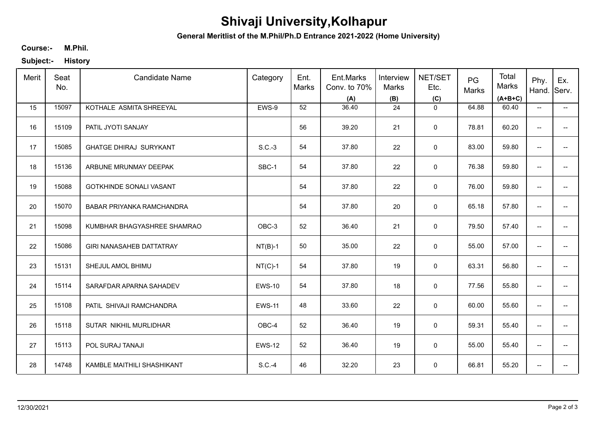# **Shivaji University,Kolhapur**

**General Meritlist of the M.Phil/Ph.D Entrance 2021-2022 (Home University)**

### **M.Phil. Course:-**

**Subject:- History**

| Merit | Seat<br>No. | <b>Candidate Name</b>           | Category      | Ent.<br><b>Marks</b> | Ent.Marks<br>Conv. to 70%<br>(A) | Interview<br>Marks<br>(B) | NET/SET<br>Etc.<br>(C) | PG<br>Marks | Total<br>Marks<br>$(A+B+C)$ | Phy.<br>Hand.            | Ex.<br>Serv.                           |
|-------|-------------|---------------------------------|---------------|----------------------|----------------------------------|---------------------------|------------------------|-------------|-----------------------------|--------------------------|----------------------------------------|
| 15    | 15097       | KOTHALE ASMITA SHREEYAL         | EWS-9         | 52                   | 36.40                            | 24                        | $\mathbf 0$            | 64.88       | 60.40                       | $\overline{\phantom{a}}$ | −−                                     |
| 16    | 15109       | PATIL JYOTI SANJAY              |               | 56                   | 39.20                            | 21                        | $\mathbf 0$            | 78.81       | 60.20                       | $\overline{\phantom{a}}$ | $\overline{\phantom{a}}$               |
| 17    | 15085       | <b>GHATGE DHIRAJ SURYKANT</b>   | $S.C.-3$      | 54                   | 37.80                            | 22                        | $\mathbf 0$            | 83.00       | 59.80                       | $\overline{\phantom{a}}$ | $\overline{\phantom{a}}$               |
| 18    | 15136       | ARBUNE MRUNMAY DEEPAK           | SBC-1         | 54                   | 37.80                            | 22                        | $\mathbf 0$            | 76.38       | 59.80                       | $\overline{\phantom{a}}$ | $\overline{\phantom{a}}$               |
| 19    | 15088       | <b>GOTKHINDE SONALI VASANT</b>  |               | 54                   | 37.80                            | 22                        | $\mathbf 0$            | 76.00       | 59.80                       | $\overline{\phantom{a}}$ | $\overline{\phantom{a}}$               |
| 20    | 15070       | BABAR PRIYANKA RAMCHANDRA       |               | 54                   | 37.80                            | 20                        | 0                      | 65.18       | 57.80                       | $\overline{\phantom{a}}$ | $\hspace{0.05cm} \rule{0.5cm}{0.15cm}$ |
| 21    | 15098       | KUMBHAR BHAGYASHREE SHAMRAO     | OBC-3         | 52                   | 36.40                            | 21                        | $\mathbf 0$            | 79.50       | 57.40                       | $\overline{\phantom{a}}$ | $\overline{\phantom{a}}$               |
| 22    | 15086       | <b>GIRI NANASAHEB DATTATRAY</b> | $NT(B)-1$     | 50                   | 35.00                            | 22                        | $\mathbf 0$            | 55.00       | 57.00                       | $\overline{\phantom{a}}$ | $\overline{\phantom{a}}$               |
| 23    | 15131       | SHEJUL AMOL BHIMU               | $NT(C)-1$     | 54                   | 37.80                            | 19                        | $\mathbf 0$            | 63.31       | 56.80                       | $\overline{\phantom{a}}$ | $\overline{\phantom{a}}$               |
| 24    | 15114       | SARAFDAR APARNA SAHADEV         | <b>EWS-10</b> | 54                   | 37.80                            | 18                        | $\mathsf{O}\xspace$    | 77.56       | 55.80                       | $\overline{\phantom{a}}$ | $- -$                                  |
| 25    | 15108       | PATIL SHIVAJI RAMCHANDRA        | <b>EWS-11</b> | 48                   | 33.60                            | 22                        | $\mathsf{O}\xspace$    | 60.00       | 55.60                       | $\overline{\phantom{a}}$ | $\overline{\phantom{a}}$               |
| 26    | 15118       | SUTAR NIKHIL MURLIDHAR          | OBC-4         | 52                   | 36.40                            | 19                        | 0                      | 59.31       | 55.40                       | $\overline{\phantom{a}}$ | $\overline{\phantom{a}}$               |
| 27    | 15113       | POL SURAJ TANAJI                | <b>EWS-12</b> | 52                   | 36.40                            | 19                        | $\mathbf 0$            | 55.00       | 55.40                       | $\overline{\phantom{a}}$ | $\hspace{0.05cm} \rule{0.5cm}{0.15cm}$ |
| 28    | 14748       | KAMBLE MAITHILI SHASHIKANT      | $S.C.-4$      | 46                   | 32.20                            | 23                        | $\mathsf 0$            | 66.81       | 55.20                       | $\overline{\phantom{a}}$ | $\hspace{0.05cm}$ – $\hspace{0.05cm}$  |